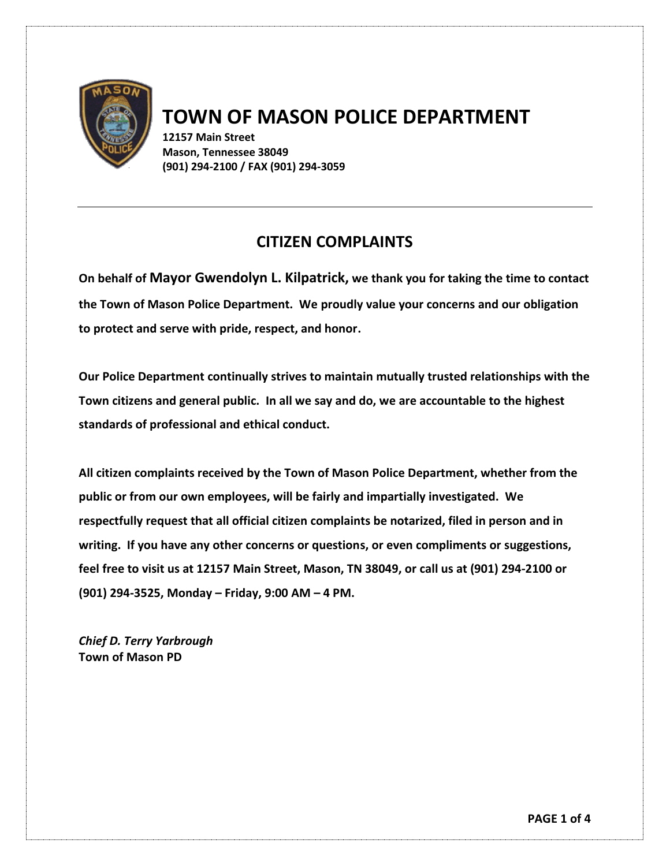

## **TOWN OF MASON POLICE DEPARTMENT**

**12157 Main Street Mason, Tennessee 38049 (901) 294-2100 / FAX (901) 294-3059**

## **CITIZEN COMPLAINTS**

**On behalf of Mayor Gwendolyn L. Kilpatrick, we thank you for taking the time to contact the Town of Mason Police Department. We proudly value your concerns and our obligation to protect and serve with pride, respect, and honor.** 

**Our Police Department continually strives to maintain mutually trusted relationships with the Town citizens and general public. In all we say and do, we are accountable to the highest standards of professional and ethical conduct.** 

**All citizen complaints received by the Town of Mason Police Department, whether from the public or from our own employees, will be fairly and impartially investigated. We respectfully request that all official citizen complaints be notarized, filed in person and in writing. If you have any other concerns or questions, or even compliments or suggestions, feel free to visit us at 12157 Main Street, Mason, TN 38049, or call us at (901) 294-2100 or (901) 294-3525, Monday – Friday, 9:00 AM – 4 PM.** 

*Chief D. Terry Yarbrough* **Town of Mason PD**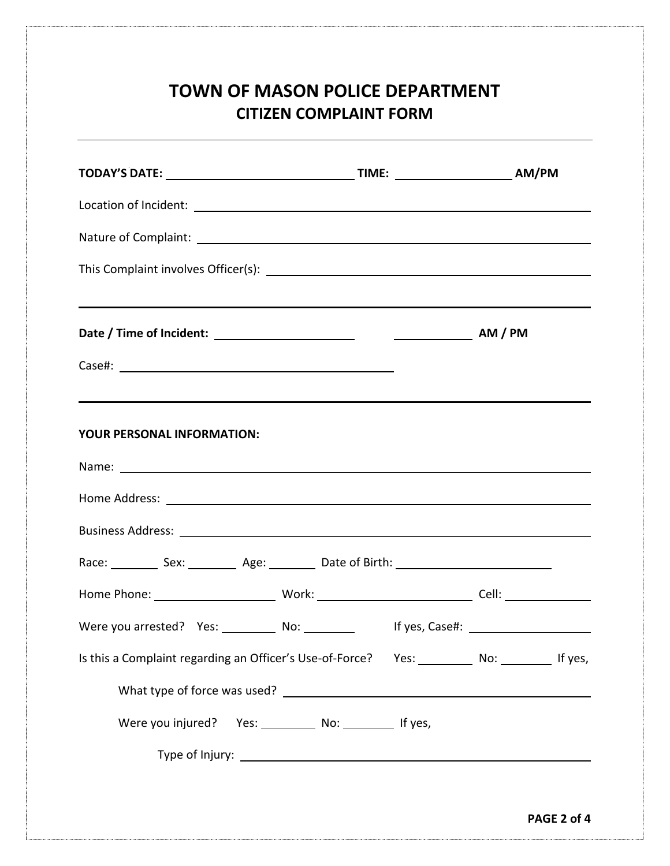## **TOWN OF MASON POLICE DEPARTMENT CITIZEN COMPLAINT FORM**

| ,我们也不会有什么。""我们的人,我们也不会有什么?""我们的人,我们也不会有什么?""我们的人,我们也不会有什么?""我们的人,我们也不会有什么?""我们的人<br>YOUR PERSONAL INFORMATION:                                                                                                                 |  |             |  |
|--------------------------------------------------------------------------------------------------------------------------------------------------------------------------------------------------------------------------------|--|-------------|--|
| Name: Name: Name: Name: Name: Name: Name: Name: Name: Name: Name: Name: Name: Name: Name: Name: Name: Name: Name: Name: Name: Name: Name: Name: Name: Name: Name: Name: Name: Name: Name: Name: Name: Name: Name: Name: Name:  |  |             |  |
| Home Address: National Address: National Address: National Address: National Address: National Address: National Address: National Address: National Address: National Address: National Address: National Address: National A |  |             |  |
|                                                                                                                                                                                                                                |  |             |  |
| Race: ____________ Sex: ____________ Age: __________ Date of Birth: ________________________________                                                                                                                           |  |             |  |
|                                                                                                                                                                                                                                |  |             |  |
| Were you arrested? Yes: ___________ No: __________ If yes, Case#: ______________                                                                                                                                               |  |             |  |
| Is this a Complaint regarding an Officer's Use-of-Force?  Yes: _________ No: ________ If yes,                                                                                                                                  |  |             |  |
|                                                                                                                                                                                                                                |  |             |  |
| Were you injured? Yes: ____________ No: ___________ If yes,                                                                                                                                                                    |  |             |  |
|                                                                                                                                                                                                                                |  |             |  |
|                                                                                                                                                                                                                                |  |             |  |
|                                                                                                                                                                                                                                |  | PAGE 2 of 4 |  |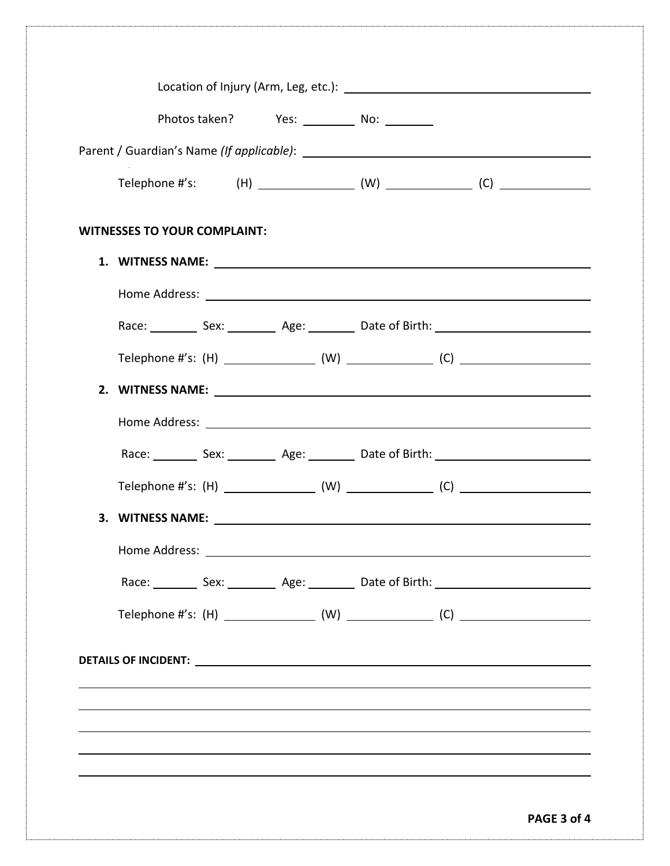|                                     | Photos taken? Yes: No: No: |                                                                                                      |  |
|-------------------------------------|----------------------------|------------------------------------------------------------------------------------------------------|--|
|                                     |                            |                                                                                                      |  |
|                                     |                            |                                                                                                      |  |
|                                     |                            |                                                                                                      |  |
| <b>WITNESSES TO YOUR COMPLAINT:</b> |                            |                                                                                                      |  |
|                                     |                            |                                                                                                      |  |
|                                     |                            | Race: Sex: Sex: Age: Date of Birth: Sex Electronic Sex: Contract Age: Contract Date of Birth:        |  |
|                                     |                            |                                                                                                      |  |
|                                     |                            |                                                                                                      |  |
|                                     |                            |                                                                                                      |  |
|                                     |                            | Race: ____________ Sex: ____________ Age: __________ Date of Birth: ________________________________ |  |
|                                     |                            |                                                                                                      |  |
|                                     |                            |                                                                                                      |  |
|                                     |                            |                                                                                                      |  |
|                                     |                            | Race: Sex: Sex: Age: Date of Birth:                                                                  |  |
|                                     |                            |                                                                                                      |  |
|                                     |                            |                                                                                                      |  |
|                                     |                            |                                                                                                      |  |
|                                     |                            |                                                                                                      |  |
|                                     |                            |                                                                                                      |  |